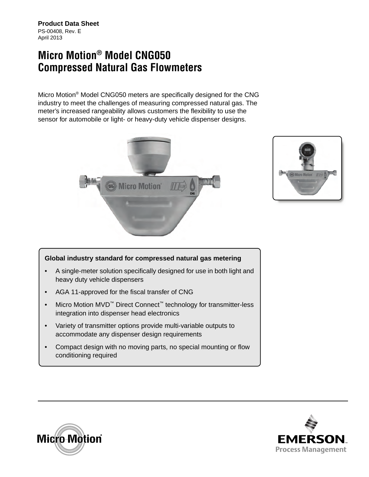**Product Data Sheet** PS-00408, Rev. E April 2013

# **Micro Motion® Model CNG050 Compressed Natural Gas Flowmeters**

Micro Motion® Model CNG050 meters are specifically designed for the CNG industry to meet the challenges of measuring compressed natural gas. The meter's increased rangeability allows customers the flexibility to use the sensor for automobile or light- or heavy-duty vehicle dispenser designs.





#### **Global industry standard for compressed natural gas metering**

- A single-meter solution specifically designed for use in both light and heavy duty vehicle dispensers
- AGA 11-approved for the fiscal transfer of CNG
- Micro Motion MVD<sup>™</sup> Direct Connect<sup>™</sup> technology for transmitter-less integration into dispenser head electronics
- Variety of transmitter options provide multi-variable outputs to accommodate any dispenser design requirements
- Compact design with no moving parts, no special mounting or flow conditioning required



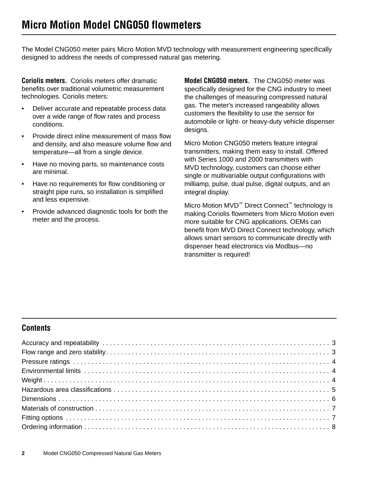The Model CNG050 meter pairs Micro Motion MVD technology with measurement engineering specifically designed to address the needs of compressed natural gas metering.

**Coriolis meters.** Coriolis meters offer dramatic benefits over traditional volumetric measurement technologies. Coriolis meters:

- Deliver accurate and repeatable process data over a wide range of flow rates and process conditions.
- Provide direct inline measurement of mass flow and density, and also measure volume flow and temperature—all from a single device.
- Have no moving parts, so maintenance costs are minimal.
- Have no requirements for flow conditioning or straight pipe runs, so installation is simplified and less expensive.
- Provide advanced diagnostic tools for both the meter and the process.

**Model CNG050 meters.** The CNG050 meter was specifically designed for the CNG industry to meet the challenges of measuring compressed natural gas. The meter's increased rangeability allows customers the flexibility to use the sensor for automobile or light- or heavy-duty vehicle dispenser designs.

Micro Motion CNG050 meters feature integral transmitters, making them easy to install. Offered with Series 1000 and 2000 transmitters with MVD technology, customers can choose either single or multivariable output configurations with milliamp, pulse, dual pulse, digital outputs, and an integral display.

Micro Motion MVD<sup>™</sup> Direct Connect<sup>™</sup> technology is making Coriolis flowmeters from Micro Motion even more suitable for CNG applications. OEMs can benefit from MVD Direct Connect technology, which allows smart sensors to communicate directly with dispenser head electronics via Modbus—no transmitter is required!

## **Contents**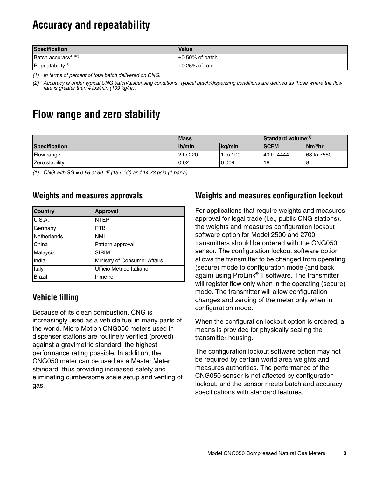# <span id="page-2-1"></span>**Accuracy and repeatability**

| <b>Specification</b>             | <b>Value</b>          |
|----------------------------------|-----------------------|
| Batch accuracy <sup>(1)(2)</sup> | $\pm 0.50\%$ of batch |
| Repeatability $(1)$              | $\pm$ 0.25% of rate   |

<span id="page-2-2"></span>*(1) In terms of percent of total batch delivered on CNG.*

*(2) Accuracy is under typical CNG batch/dispensing conditions. Typical batch/dispensing conditions are defined as those where the flow rate is greater than 4 lbs/min (109 kg/hr).*

## <span id="page-2-0"></span>**Flow range and zero stability**

|                      | <b>Mass</b> |          | Standard volume <sup>(1)</sup> |                     |
|----------------------|-------------|----------|--------------------------------|---------------------|
| <b>Specification</b> | Ib/min      | ka/min   | <b>ISCFM</b>                   | Nm <sup>3</sup> /hr |
| Flow range           | 2 to 220    | 1 to 100 | 40 to 4444                     | 68 to 7550          |
| Zero stability       | 0.02        | 0.009    | 18                             |                     |

*(1) CNG with SG = 0.66 at 60 °F (15.5 °C) and 14.73 psia (1 bar-a).*

### **Weights and measures approvals**

| <b>Country</b> | <b>Approval</b>              |
|----------------|------------------------------|
| U.S.A.         | <b>NTEP</b>                  |
| Germany        | <b>PTB</b>                   |
| Netherlands    | <b>NMI</b>                   |
| China          | Pattern approval             |
| Malaysia       | <b>SIRIM</b>                 |
| India          | Ministry of Consumer Affairs |
| Italy          | Ufficio Metrico Italiano     |
| <b>Brazil</b>  | Inmetro                      |

## **Vehicle filling**

Because of its clean combustion, CNG is increasingly used as a vehicle fuel in many parts of the world. Micro Motion CNG050 meters used in dispenser stations are routinely verified (proved) against a gravimetric standard, the highest performance rating possible. In addition, the CNG050 meter can be used as a Master Meter standard, thus providing increased safety and eliminating cumbersome scale setup and venting of gas.

### **Weights and measures configuration lockout**

For applications that require weights and measures approval for legal trade (i.e., public CNG stations), the weights and measures configuration lockout software option for Model 2500 and 2700 transmitters should be ordered with the CNG050 sensor. The configuration lockout software option allows the transmitter to be changed from operating (secure) mode to configuration mode (and back again) using ProLink® II software. The transmitter will register flow only when in the operating (secure) mode. The transmitter will allow configuration changes and zeroing of the meter only when in configuration mode.

When the configuration lockout option is ordered, a means is provided for physically sealing the transmitter housing.

The configuration lockout software option may not be required by certain world area weights and measures authorities. The performance of the CNG050 sensor is not affected by configuration lockout, and the sensor meets batch and accuracy specifications with standard features.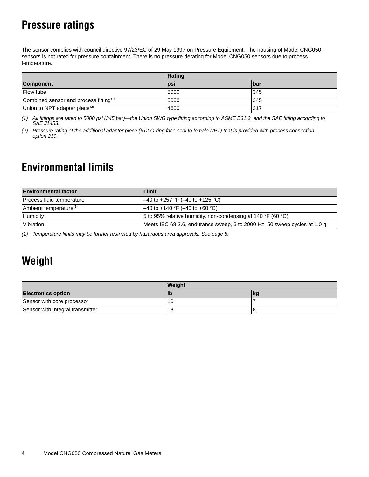# <span id="page-3-2"></span>**Pressure ratings**

The sensor complies with council directive 97/23/EC of 29 May 1997 on Pressure Equipment. The housing of Model CNG050 sensors is not rated for pressure containment. There is no pressure derating for Model CNG050 sensors due to process temperature.

|                                                    | Rating     |            |  |
|----------------------------------------------------|------------|------------|--|
| <b>Component</b>                                   | <b>psi</b> | <b>bar</b> |  |
| <b>Flow tube</b>                                   | 5000       | 345        |  |
| Combined sensor and process fitting <sup>(1)</sup> | 5000       | 345        |  |
| Union to NPT adapter piece <sup>(2)</sup>          | 4600       | 317        |  |

*(1) All fittings are rated to 5000 psi (345 bar)—the Union SWG type fitting according to ASME B31.3, and the SAE fitting according to SAE J1453.*

*(2) Pressure rating of the additional adapter piece (#12 O-ring face seal to female NPT) that is provided with process connection option 239.*

# <span id="page-3-0"></span>**Environmental limits**

| <b>Environmental factor</b>        | Limit                                                                     |
|------------------------------------|---------------------------------------------------------------------------|
| Process fluid temperature          | –40 to +257 °F (–40 to +125 °C)                                           |
| Ambient temperature <sup>(1)</sup> | –40 to +140 °F (–40 to +60 °C)                                            |
| Humidity                           | 5 to 95% relative humidity, non-condensing at 140 °F (60 °C)              |
| Vibration                          | Meets IEC 68.2.6, endurance sweep, 5 to 2000 Hz, 50 sweep cycles at 1.0 g |

*(1) Temperature limits may be further restricted by hazardous area approvals. See [page 5](#page-4-0).*

# <span id="page-3-1"></span>**Weight**

|                                  | <b>Weight</b> |    |  |
|----------------------------------|---------------|----|--|
| <b>Electronics option</b>        | llb           | kg |  |
| Sensor with core processor       | 16            |    |  |
| Sensor with integral transmitter | 18            |    |  |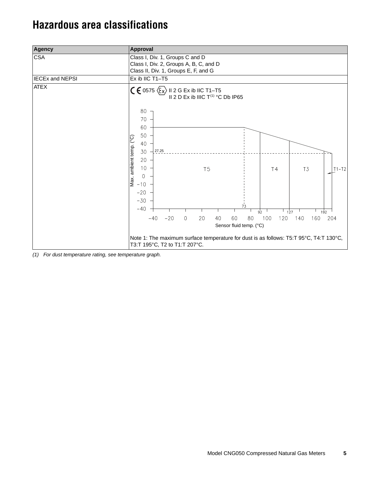## <span id="page-4-0"></span>**Hazardous area classifications**

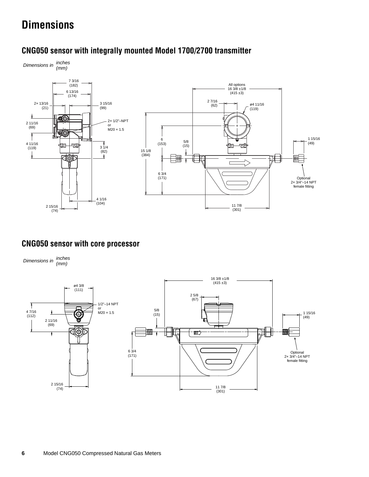# <span id="page-5-0"></span>**Dimensions**

## **CNG050 sensor with integrally mounted Model 1700/2700 transmitter**

*Dimensions in inches (mm)*



## **CNG050 sensor with core processor**

*Dimensions in inches (mm)*

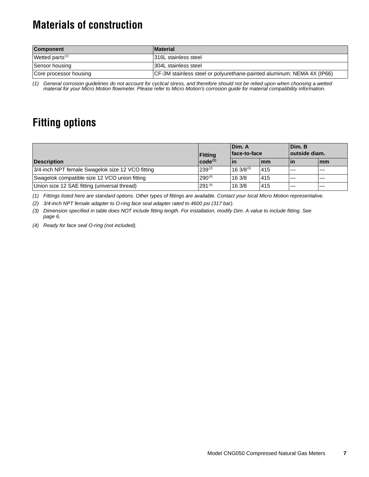# <span id="page-6-0"></span>**Materials of construction**

| <b>Component</b>            | <b>Material</b>                                                         |
|-----------------------------|-------------------------------------------------------------------------|
| Wetted parts <sup>(1)</sup> | 1316L stainless steel                                                   |
| Sensor housing              | 304L stainless steel                                                    |
| Core processor housing      | (CF-3M stainless steel or polyurethane-painted aluminum; NEMA 4X (IP66) |

*(1) General corrosion guidelines do not account for cyclical stress, and therefore should not be relied upon when choosing a wetted material for your Micro Motion flowmeter. Please refer to Micro Motion's corrosion guide for material compatibility information.*

# <span id="page-6-1"></span>**Fitting options**

|                                                  | <b>Fitting</b> | Dim. A<br>face-to-face          |            | Dim. B<br>outside diam. |            |
|--------------------------------------------------|----------------|---------------------------------|------------|-------------------------|------------|
| <b>Description</b>                               | $ code^{(1)} $ | lin                             | <b>Imm</b> | ۱in                     | <b>Imm</b> |
| 3/4-inch NPT female Swagelok size 12 VCO fitting | $239^{(2)}$    | $16 \frac{3}{8}$ <sup>(3)</sup> | 415        |                         |            |
| Swagelok compatible size 12 VCO union fitting    | $290^{(4)}$    | 163/8                           | 415        |                         |            |
| Union size 12 SAE fitting (universal thread)     | $291^{(4)}$    | 163/8                           | 415        |                         |            |

*(1) Fittings listed here are standard options. Other types of fittings are available. Contact your local Micro Motion representative.*

*(2) 3/4-inch NPT female adapter to O-ring face seal adapter rated to 4600 psi (317 bar).*

*(3) Dimension specified in table does NOT include fitting length. For installation, modify Dim. A value to include fitting. See [page 6.](#page-5-0)*

<span id="page-6-2"></span>*(4) Ready for face seal O-ring (not included).*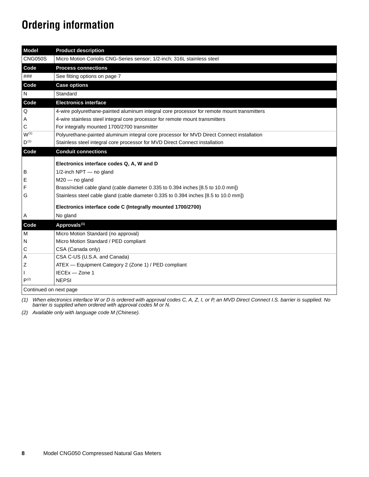# <span id="page-7-0"></span>**Ordering information**

| <b>Model</b>           | <b>Product description</b>                                                                 |
|------------------------|--------------------------------------------------------------------------------------------|
| <b>CNG050S</b>         | Micro Motion Coriolis CNG-Series sensor; 1/2-inch; 316L stainless steel                    |
| Code                   | <b>Process connections</b>                                                                 |
| ###                    | See fitting options on page 7                                                              |
| Code                   | <b>Case options</b>                                                                        |
| N                      | Standard                                                                                   |
| Code                   | <b>Electronics interface</b>                                                               |
| Q                      | 4-wire polyurethane-painted aluminum integral core processor for remote mount transmitters |
| Α                      | 4-wire stainless steel integral core processor for remote mount transmitters               |
| С                      | For integrally mounted 1700/2700 transmitter                                               |
| $W^{(1)}$              | Polyurethane-painted aluminum integral core processor for MVD Direct Connect installation  |
| $D^{(1)}$              | Stainless steel integral core processor for MVD Direct Connect installation                |
| Code                   | <b>Conduit connections</b>                                                                 |
|                        | Electronics interface codes Q, A, W and D                                                  |
| в                      | 1/2-inch NPT - no gland                                                                    |
| Ε                      | $M20$ – no gland                                                                           |
| F                      | Brass/nickel cable gland (cable diameter 0.335 to 0.394 inches [8.5 to 10.0 mm])           |
| G                      | Stainless steel cable gland (cable diameter 0.335 to 0.394 inches [8.5 to 10.0 mm])        |
|                        | Electronics interface code C (Integrally mounted 1700/2700)                                |
| Α                      | No gland                                                                                   |
| Code                   | Approvals <sup>(1)</sup>                                                                   |
| M                      | Micro Motion Standard (no approval)                                                        |
| N                      | Micro Motion Standard / PED compliant                                                      |
| С                      | CSA (Canada only)                                                                          |
| Α                      | CSA C-US (U.S.A. and Canada)                                                               |
| Ζ                      | ATEX - Equipment Category 2 (Zone 1) / PED compliant                                       |
|                        | IECEx - Zone 1                                                                             |
| $P^{(2)}$              | <b>NEPSI</b>                                                                               |
| Continued on next page |                                                                                            |

<span id="page-7-1"></span>*(1) When electronics interface W or D is ordered with approval codes C, A, Z, I, or P, an MVD Direct Connect I.S. barrier is supplied. No barrier is supplied when ordered with approval codes M or N.*

*(2) Available only with language code M (Chinese).*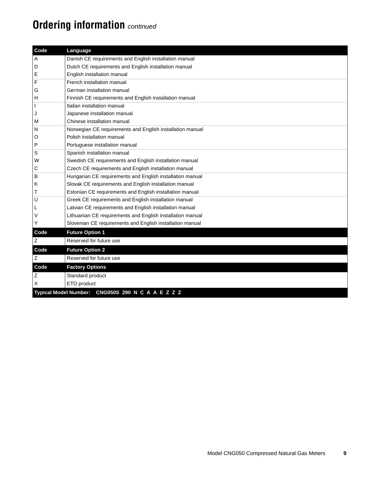# **Ordering information** *continued*

| Code        | Language                                                   |
|-------------|------------------------------------------------------------|
| Α           | Danish CE requirements and English installation manual     |
| D           | Dutch CE requirements and English installation manual      |
| Е           | English installation manual                                |
| F           | French installation manual                                 |
| G           | German installation manual                                 |
| н           | Finnish CE requirements and English installation manual    |
|             | Italian installation manual                                |
| J           | Japanese installation manual                               |
| M           | Chinese installation manual                                |
| N           | Norwegian CE requirements and English installation manual  |
| O           | Polish installation manual                                 |
| P           | Portuguese installation manual                             |
| $\mathbb S$ | Spanish installation manual                                |
| W           | Swedish CE requirements and English installation manual    |
| С           | Czech CE requirements and English installation manual      |
| В           | Hungarian CE requirements and English installation manual  |
| κ           | Slovak CE requirements and English installation manual     |
| Т           | Estonian CE requirements and English installation manual   |
| U           | Greek CE requirements and English installation manual      |
| L           | Latvian CE requirements and English installation manual    |
| V           | Lithuanian CE requirements and English installation manual |
| Υ           | Slovenian CE requirements and English installation manual  |
| Code        | <b>Future Option 1</b>                                     |
| $\mathsf Z$ | Reserved for future use                                    |
| Code        | <b>Future Option 2</b>                                     |
| Ζ           | Reserved for future use                                    |
| Code        | <b>Factory Options</b>                                     |
| $\mathsf Z$ | Standard product                                           |
| X           | ETO product                                                |
|             | Typical Model Number: CNG050S 290 N C A A E Z Z Z          |